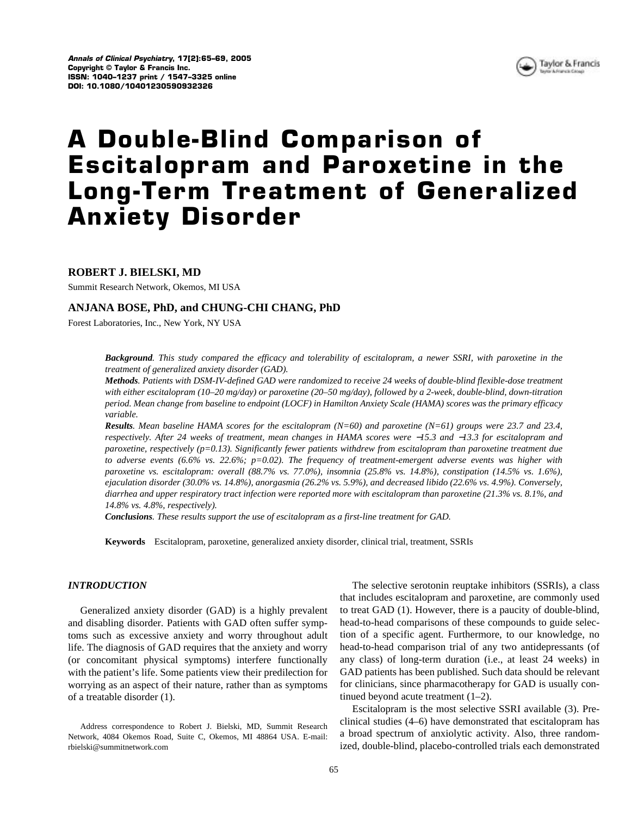

# **A Double-Blind Comparison of Escitalopram and Paroxetine in the Long-Term Treatment of Generalized Anxiety Disorder**

# **ROBERT J. BIELSKI, MD**

Summit Research Network, Okemos, MI USA

# **ANJANA BOSE, PhD, and CHUNG-CHI CHANG, PhD**

Forest Laboratories, Inc., New York, NY USA

*Background. This study compared the efficacy and tolerability of escitalopram, a newer SSRI, with paroxetine in the treatment of generalized anxiety disorder (GAD).*

*Methods. Patients with DSM-IV-defined GAD were randomized to receive 24 weeks of double-blind flexible-dose treatment with either escitalopram (10–20 mg/day) or paroxetine (20–50 mg/day), followed by a 2-week, double-blind, down-titration period. Mean change from baseline to endpoint (LOCF) in Hamilton Anxiety Scale (HAMA) scores was the primary efficacy variable.*

*Results. Mean baseline HAMA scores for the escitalopram (N=60) and paroxetine (N=61) groups were 23.7 and 23.4, respectively. After 24 weeks of treatment, mean changes in HAMA scores were* −*15.3 and* −*13.3 for escitalopram and paroxetine, respectively (p=0.13). Significantly fewer patients withdrew from escitalopram than paroxetine treatment due to adverse events (6.6% vs. 22.6%; p=0.02). The frequency of treatment-emergent adverse events was higher with paroxetine vs. escitalopram: overall (88.7% vs. 77.0%), insomnia (25.8% vs. 14.8%), constipation (14.5% vs. 1.6%), ejaculation disorder (30.0% vs. 14.8%), anorgasmia (26.2% vs. 5.9%), and decreased libido (22.6% vs. 4.9%). Conversely, diarrhea and upper respiratory tract infection were reported more with escitalopram than paroxetine (21.3% vs. 8.1%, and 14.8% vs. 4.8%, respectively).*

*Conclusions. These results support the use of escitalopram as a first-line treatment for GAD.*

**Keywords** Escitalopram, paroxetine, generalized anxiety disorder, clinical trial, treatment, SSRIs

### *INTRODUCTION*

Generalized anxiety disorder (GAD) is a highly prevalent and disabling disorder. Patients with GAD often suffer symptoms such as excessive anxiety and worry throughout adult life. The diagnosis of GAD requires that the anxiety and worry (or concomitant physical symptoms) interfere functionally with the patient's life. Some patients view their predilection for worrying as an aspect of their nature, rather than as symptoms of a treatable disorder (1).

Address correspondence to Robert J. Bielski, MD, Summit Research Network, 4084 Okemos Road, Suite C, Okemos, MI 48864 USA. E-mail: rbielski@summitnetwork.com

The selective serotonin reuptake inhibitors (SSRIs), a class that includes escitalopram and paroxetine, are commonly used to treat GAD (1). However, there is a paucity of double-blind, head-to-head comparisons of these compounds to guide selection of a specific agent. Furthermore, to our knowledge, no head-to-head comparison trial of any two antidepressants (of any class) of long-term duration (i.e., at least 24 weeks) in GAD patients has been published. Such data should be relevant for clinicians, since pharmacotherapy for GAD is usually continued beyond acute treatment (1–2).

Escitalopram is the most selective SSRI available (3). Preclinical studies (4–6) have demonstrated that escitalopram has a broad spectrum of anxiolytic activity. Also, three randomized, double-blind, placebo-controlled trials each demonstrated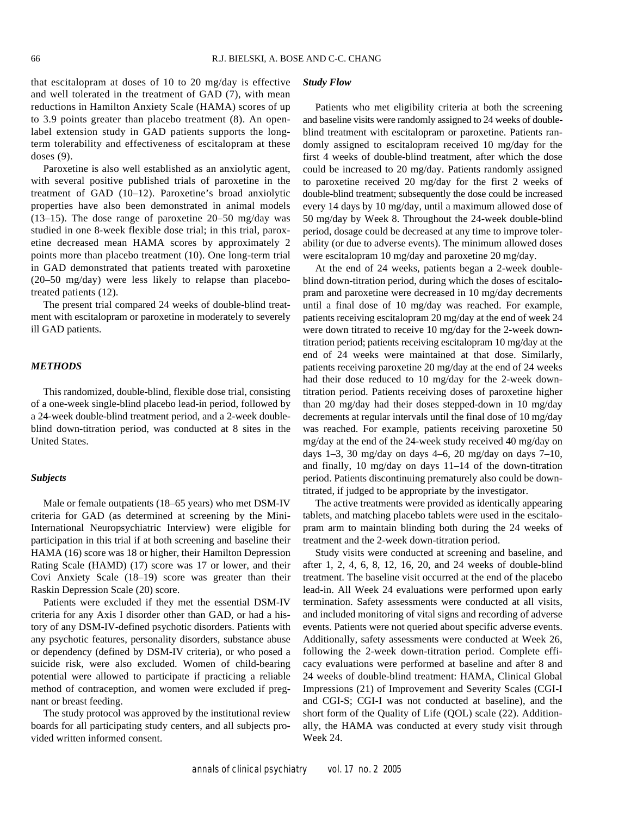that escitalopram at doses of 10 to 20 mg/day is effective and well tolerated in the treatment of GAD (7), with mean reductions in Hamilton Anxiety Scale (HAMA) scores of up to 3.9 points greater than placebo treatment (8). An openlabel extension study in GAD patients supports the longterm tolerability and effectiveness of escitalopram at these doses (9).

Paroxetine is also well established as an anxiolytic agent, with several positive published trials of paroxetine in the treatment of GAD (10–12). Paroxetine's broad anxiolytic properties have also been demonstrated in animal models (13–15). The dose range of paroxetine 20–50 mg/day was studied in one 8-week flexible dose trial; in this trial, paroxetine decreased mean HAMA scores by approximately 2 points more than placebo treatment (10). One long-term trial in GAD demonstrated that patients treated with paroxetine (20–50 mg/day) were less likely to relapse than placebotreated patients (12).

The present trial compared 24 weeks of double-blind treatment with escitalopram or paroxetine in moderately to severely ill GAD patients.

#### *METHODS*

This randomized, double-blind, flexible dose trial, consisting of a one-week single-blind placebo lead-in period, followed by a 24-week double-blind treatment period, and a 2-week doubleblind down-titration period, was conducted at 8 sites in the United States.

#### *Subjects*

Male or female outpatients (18–65 years) who met DSM-IV criteria for GAD (as determined at screening by the Mini-International Neuropsychiatric Interview) were eligible for participation in this trial if at both screening and baseline their HAMA (16) score was 18 or higher, their Hamilton Depression Rating Scale (HAMD) (17) score was 17 or lower, and their Covi Anxiety Scale (18–19) score was greater than their Raskin Depression Scale (20) score.

Patients were excluded if they met the essential DSM-IV criteria for any Axis I disorder other than GAD, or had a history of any DSM-IV-defined psychotic disorders. Patients with any psychotic features, personality disorders, substance abuse or dependency (defined by DSM-IV criteria), or who posed a suicide risk, were also excluded. Women of child-bearing potential were allowed to participate if practicing a reliable method of contraception, and women were excluded if pregnant or breast feeding.

The study protocol was approved by the institutional review boards for all participating study centers, and all subjects provided written informed consent.

#### *Study Flow*

Patients who met eligibility criteria at both the screening and baseline visits were randomly assigned to 24 weeks of doubleblind treatment with escitalopram or paroxetine. Patients randomly assigned to escitalopram received 10 mg/day for the first 4 weeks of double-blind treatment, after which the dose could be increased to 20 mg/day. Patients randomly assigned to paroxetine received 20 mg/day for the first 2 weeks of double-blind treatment; subsequently the dose could be increased every 14 days by 10 mg/day, until a maximum allowed dose of 50 mg/day by Week 8. Throughout the 24-week double-blind period, dosage could be decreased at any time to improve tolerability (or due to adverse events). The minimum allowed doses were escitalopram 10 mg/day and paroxetine 20 mg/day.

At the end of 24 weeks, patients began a 2-week doubleblind down-titration period, during which the doses of escitalopram and paroxetine were decreased in 10 mg/day decrements until a final dose of 10 mg/day was reached. For example, patients receiving escitalopram 20 mg/day at the end of week 24 were down titrated to receive 10 mg/day for the 2-week downtitration period; patients receiving escitalopram 10 mg/day at the end of 24 weeks were maintained at that dose. Similarly, patients receiving paroxetine 20 mg/day at the end of 24 weeks had their dose reduced to 10 mg/day for the 2-week downtitration period. Patients receiving doses of paroxetine higher than 20 mg/day had their doses stepped-down in 10 mg/day decrements at regular intervals until the final dose of 10 mg/day was reached. For example, patients receiving paroxetine 50 mg/day at the end of the 24-week study received 40 mg/day on days 1–3, 30 mg/day on days 4–6, 20 mg/day on days 7–10, and finally, 10 mg/day on days 11–14 of the down-titration period. Patients discontinuing prematurely also could be downtitrated, if judged to be appropriate by the investigator.

The active treatments were provided as identically appearing tablets, and matching placebo tablets were used in the escitalopram arm to maintain blinding both during the 24 weeks of treatment and the 2-week down-titration period.

Study visits were conducted at screening and baseline, and after 1, 2, 4, 6, 8, 12, 16, 20, and 24 weeks of double-blind treatment. The baseline visit occurred at the end of the placebo lead-in. All Week 24 evaluations were performed upon early termination. Safety assessments were conducted at all visits, and included monitoring of vital signs and recording of adverse events. Patients were not queried about specific adverse events. Additionally, safety assessments were conducted at Week 26, following the 2-week down-titration period. Complete efficacy evaluations were performed at baseline and after 8 and 24 weeks of double-blind treatment: HAMA, Clinical Global Impressions (21) of Improvement and Severity Scales (CGI-I and CGI-S; CGI-I was not conducted at baseline), and the short form of the Quality of Life (QOL) scale (22). Additionally, the HAMA was conducted at every study visit through Week 24.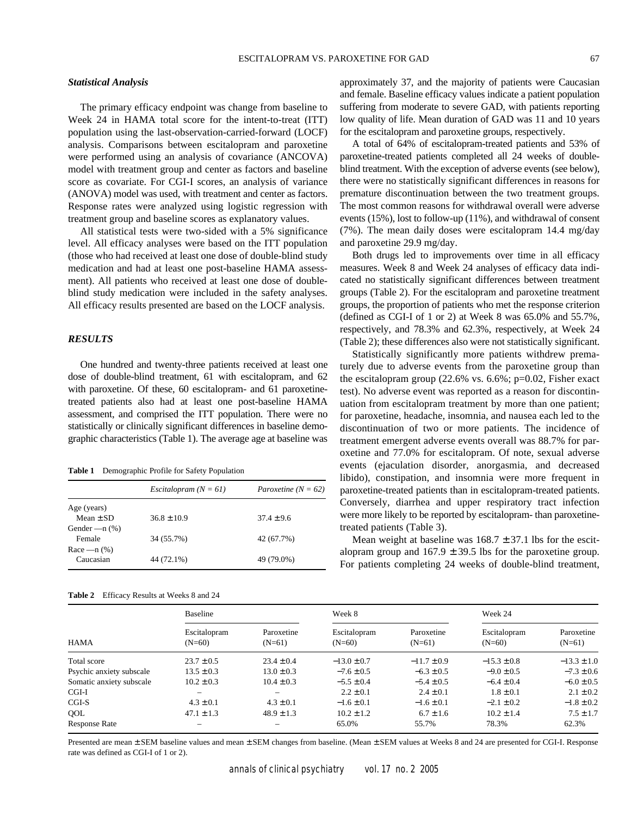## *Statistical Analysis*

The primary efficacy endpoint was change from baseline to Week 24 in HAMA total score for the intent-to-treat (ITT) population using the last-observation-carried-forward (LOCF) analysis. Comparisons between escitalopram and paroxetine were performed using an analysis of covariance (ANCOVA) model with treatment group and center as factors and baseline score as covariate. For CGI-I scores, an analysis of variance (ANOVA) model was used, with treatment and center as factors. Response rates were analyzed using logistic regression with treatment group and baseline scores as explanatory values.

All statistical tests were two-sided with a 5% significance level. All efficacy analyses were based on the ITT population (those who had received at least one dose of double-blind study medication and had at least one post-baseline HAMA assessment). All patients who received at least one dose of doubleblind study medication were included in the safety analyses. All efficacy results presented are based on the LOCF analysis.

## *RESULTS*

One hundred and twenty-three patients received at least one dose of double-blind treatment, 61 with escitalopram, and 62 with paroxetine. Of these, 60 escitalopram- and 61 paroxetinetreated patients also had at least one post-baseline HAMA assessment, and comprised the ITT population. There were no statistically or clinically significant differences in baseline demographic characteristics (Table 1). The average age at baseline was

**Table 1** Demographic Profile for Safety Population

|                    | Escitalopram $(N = 61)$ | Paroxetine $(N = 62)$ |
|--------------------|-------------------------|-----------------------|
| Age (years)        |                         |                       |
| $Mean \pm SD$      | $36.8 \pm 10.9$         | $37.4 \pm 9.6$        |
| Gender — $n$ $%$ ) |                         |                       |
| Female             | 34 (55.7%)              | 42 (67.7%)            |
| Race $-$ n $(\%)$  |                         |                       |
| Caucasian          | 44 (72.1%)              | 49 (79.0%)            |
|                    |                         |                       |

| <b>Table 2</b> |  | Efficacy Results at Weeks 8 and 24 |  |  |
|----------------|--|------------------------------------|--|--|
|----------------|--|------------------------------------|--|--|

approximately 37, and the majority of patients were Caucasian and female. Baseline efficacy values indicate a patient population suffering from moderate to severe GAD, with patients reporting low quality of life. Mean duration of GAD was 11 and 10 years for the escitalopram and paroxetine groups, respectively.

A total of 64% of escitalopram-treated patients and 53% of paroxetine-treated patients completed all 24 weeks of doubleblind treatment. With the exception of adverse events (see below), there were no statistically significant differences in reasons for premature discontinuation between the two treatment groups. The most common reasons for withdrawal overall were adverse events (15%), lost to follow-up (11%), and withdrawal of consent (7%). The mean daily doses were escitalopram 14.4 mg/day and paroxetine 29.9 mg/day.

Both drugs led to improvements over time in all efficacy measures. Week 8 and Week 24 analyses of efficacy data indicated no statistically significant differences between treatment groups (Table 2). For the escitalopram and paroxetine treatment groups, the proportion of patients who met the response criterion (defined as CGI-I of 1 or 2) at Week 8 was 65.0% and 55.7%, respectively, and 78.3% and 62.3%, respectively, at Week 24 (Table 2); these differences also were not statistically significant.

Statistically significantly more patients withdrew prematurely due to adverse events from the paroxetine group than the escitalopram group (22.6% vs. 6.6%; p=0.02, Fisher exact test). No adverse event was reported as a reason for discontinuation from escitalopram treatment by more than one patient; for paroxetine, headache, insomnia, and nausea each led to the discontinuation of two or more patients. The incidence of treatment emergent adverse events overall was 88.7% for paroxetine and 77.0% for escitalopram. Of note, sexual adverse events (ejaculation disorder, anorgasmia, and decreased libido), constipation, and insomnia were more frequent in paroxetine-treated patients than in escitalopram-treated patients. Conversely, diarrhea and upper respiratory tract infection were more likely to be reported by escitalopram- than paroxetinetreated patients (Table 3).

Mean weight at baseline was  $168.7 \pm 37.1$  lbs for the escitalopram group and  $167.9 \pm 39.5$  lbs for the paroxetine group. For patients completing 24 weeks of double-blind treatment,

| <b>HAMA</b>              | <b>Baseline</b>          |                        | Week 8                   |                        | Week 24                  |                        |
|--------------------------|--------------------------|------------------------|--------------------------|------------------------|--------------------------|------------------------|
|                          | Escitalopram<br>$(N=60)$ | Paroxetine<br>$(N=61)$ | Escitalopram<br>$(N=60)$ | Paroxetine<br>$(N=61)$ | Escitalopram<br>$(N=60)$ | Paroxetine<br>$(N=61)$ |
| Total score              | $23.7 \pm 0.5$           | $23.4 \pm 0.4$         | $-13.0 \pm 0.7$          | $-11.7 \pm 0.9$        | $-15.3 \pm 0.8$          | $-13.3 \pm 1.0$        |
| Psychic anxiety subscale | $13.5 \pm 0.3$           | $13.0 \pm 0.3$         | $-7.6 \pm 0.5$           | $-6.3 \pm 0.5$         | $-9.0 \pm 0.5$           | $-7.3 \pm 0.6$         |
| Somatic anxiety subscale | $10.2 \pm 0.3$           | $10.4 \pm 0.3$         | $-5.5 \pm 0.4$           | $-5.4 \pm 0.5$         | $-6.4 \pm 0.4$           | $-6.0 \pm 0.5$         |
| $CGI-I$                  | $\overline{\phantom{m}}$ |                        | $2.2 \pm 0.1$            | $2.4 \pm 0.1$          | $1.8 \pm 0.1$            | $2.1 \pm 0.2$          |
| $CGI-S$                  | $4.3 \pm 0.1$            | $4.3 \pm 0.1$          | $-1.6 \pm 0.1$           | $-1.6 \pm 0.1$         | $-2.1 \pm 0.2$           | $-1.8 \pm 0.2$         |
| QOL                      | $47.1 \pm 1.3$           | $48.9 \pm 1.3$         | $10.2 \pm 1.2$           | $6.7 \pm 1.6$          | $10.2 \pm 1.4$           | $7.5 \pm 1.7$          |
| <b>Response Rate</b>     |                          |                        | 65.0%                    | 55.7%                  | 78.3%                    | 62.3%                  |

Presented are mean  $\pm$  SEM baseline values and mean  $\pm$  SEM changes from baseline. (Mean  $\pm$  SEM values at Weeks 8 and 24 are presented for CGI-I. Response rate was defined as CGI-I of 1 or 2).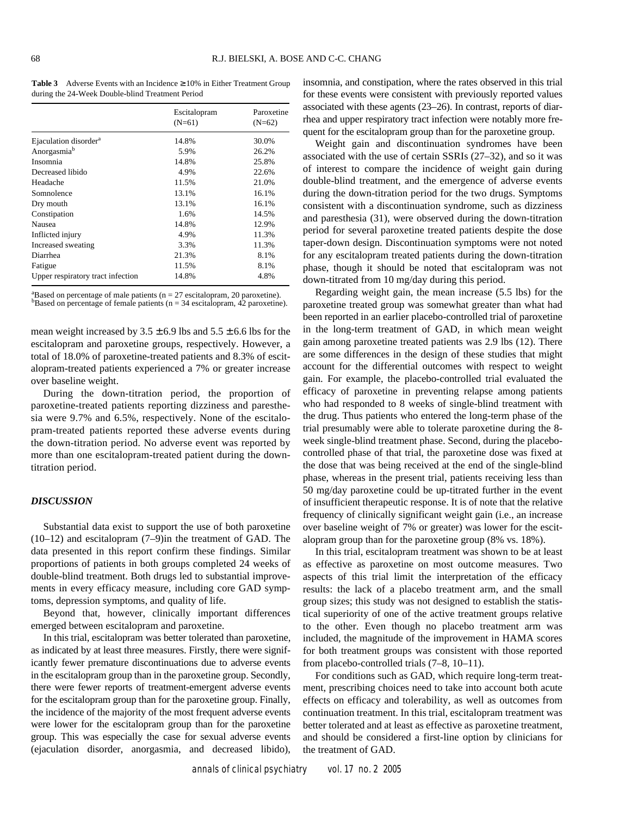**Table 3** Adverse Events with an Incidence  $\geq 10\%$  in Either Treatment Group during the 24-Week Double-blind Treatment Period

|                                   | Escitalopram | Paroxetine<br>$(N=62)$ |  |
|-----------------------------------|--------------|------------------------|--|
|                                   | $(N=61)$     |                        |  |
| Ejaculation disorder <sup>a</sup> | 14.8%        | 30.0%                  |  |
| Anorgasmia <sup>b</sup>           | 5.9%         | 26.2%                  |  |
| Insomnia                          | 14.8%        | 25.8%                  |  |
| Decreased libido                  | 4.9%         | 22.6%                  |  |
| Headache                          | 11.5%        | 21.0%                  |  |
| Somnolence                        | 13.1%        | 16.1%                  |  |
| Dry mouth                         | 13.1%        | 16.1%                  |  |
| Constipation                      | 1.6%         | 14.5%                  |  |
| Nausea                            | 14.8%        | 12.9%                  |  |
| Inflicted injury                  | 4.9%         | 11.3%                  |  |
| Increased sweating                | 3.3%         | 11.3%                  |  |
| Diarrhea                          | 21.3%        | 8.1%                   |  |
| Fatigue                           | 11.5%        | 8.1%                   |  |
| Upper respiratory tract infection | 14.8%        | 4.8%                   |  |

<sup>a</sup>Based on percentage of male patients (n = 27 escitalopram, 20 paroxetine).  $b$ Based on percentage of female patients (n = 34 escitalopram, 42 paroxetine).

mean weight increased by  $3.5 \pm 6.9$  lbs and  $5.5 \pm 6.6$  lbs for the escitalopram and paroxetine groups, respectively. However, a total of 18.0% of paroxetine-treated patients and 8.3% of escitalopram-treated patients experienced a 7% or greater increase over baseline weight.

During the down-titration period, the proportion of paroxetine-treated patients reporting dizziness and paresthesia were 9.7% and 6.5%, respectively. None of the escitalopram-treated patients reported these adverse events during the down-titration period. No adverse event was reported by more than one escitalopram-treated patient during the downtitration period.

#### *DISCUSSION*

Substantial data exist to support the use of both paroxetine (10–12) and escitalopram (7–9)in the treatment of GAD. The data presented in this report confirm these findings. Similar proportions of patients in both groups completed 24 weeks of double-blind treatment. Both drugs led to substantial improvements in every efficacy measure, including core GAD symptoms, depression symptoms, and quality of life.

Beyond that, however, clinically important differences emerged between escitalopram and paroxetine.

In this trial, escitalopram was better tolerated than paroxetine, as indicated by at least three measures. Firstly, there were significantly fewer premature discontinuations due to adverse events in the escitalopram group than in the paroxetine group. Secondly, there were fewer reports of treatment-emergent adverse events for the escitalopram group than for the paroxetine group. Finally, the incidence of the majority of the most frequent adverse events were lower for the escitalopram group than for the paroxetine group. This was especially the case for sexual adverse events (ejaculation disorder, anorgasmia, and decreased libido),

insomnia, and constipation, where the rates observed in this trial for these events were consistent with previously reported values associated with these agents (23–26). In contrast, reports of diarrhea and upper respiratory tract infection were notably more frequent for the escitalopram group than for the paroxetine group.

Weight gain and discontinuation syndromes have been associated with the use of certain SSRIs (27–32), and so it was of interest to compare the incidence of weight gain during double-blind treatment, and the emergence of adverse events during the down-titration period for the two drugs. Symptoms consistent with a discontinuation syndrome, such as dizziness and paresthesia (31), were observed during the down-titration period for several paroxetine treated patients despite the dose taper-down design. Discontinuation symptoms were not noted for any escitalopram treated patients during the down-titration phase, though it should be noted that escitalopram was not down-titrated from 10 mg/day during this period.

Regarding weight gain, the mean increase (5.5 lbs) for the paroxetine treated group was somewhat greater than what had been reported in an earlier placebo-controlled trial of paroxetine in the long-term treatment of GAD, in which mean weight gain among paroxetine treated patients was 2.9 lbs (12). There are some differences in the design of these studies that might account for the differential outcomes with respect to weight gain. For example, the placebo-controlled trial evaluated the efficacy of paroxetine in preventing relapse among patients who had responded to 8 weeks of single-blind treatment with the drug. Thus patients who entered the long-term phase of the trial presumably were able to tolerate paroxetine during the 8 week single-blind treatment phase. Second, during the placebocontrolled phase of that trial, the paroxetine dose was fixed at the dose that was being received at the end of the single-blind phase, whereas in the present trial, patients receiving less than 50 mg/day paroxetine could be up-titrated further in the event of insufficient therapeutic response. It is of note that the relative frequency of clinically significant weight gain (i.e., an increase over baseline weight of 7% or greater) was lower for the escitalopram group than for the paroxetine group (8% vs. 18%).

In this trial, escitalopram treatment was shown to be at least as effective as paroxetine on most outcome measures. Two aspects of this trial limit the interpretation of the efficacy results: the lack of a placebo treatment arm, and the small group sizes; this study was not designed to establish the statistical superiority of one of the active treatment groups relative to the other. Even though no placebo treatment arm was included, the magnitude of the improvement in HAMA scores for both treatment groups was consistent with those reported from placebo-controlled trials (7–8, 10–11).

For conditions such as GAD, which require long-term treatment, prescribing choices need to take into account both acute effects on efficacy and tolerability, as well as outcomes from continuation treatment. In this trial, escitalopram treatment was better tolerated and at least as effective as paroxetine treatment, and should be considered a first-line option by clinicians for the treatment of GAD.